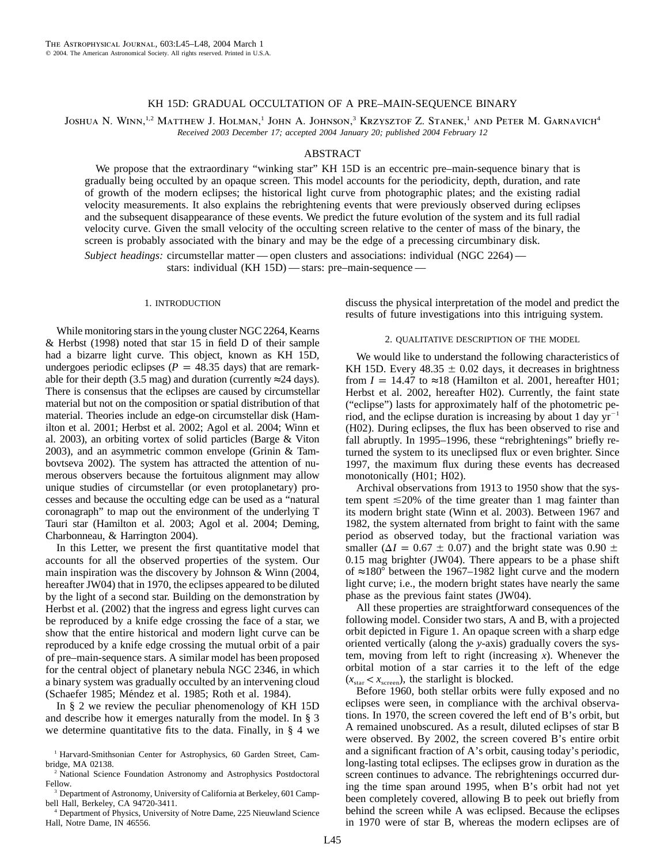# KH 15D: GRADUAL OCCULTATION OF A PRE–MAIN-SEQUENCE BINARY

Joshua N. Winn,<sup>1,2</sup> Matthew J. Holman,<sup>1</sup> John A. Johnson,<sup>3</sup> Krzysztof Z. Stanek,<sup>1</sup> and Peter M. Garnavich<sup>4</sup> *Received 2003 December 17; accepted 2004 January 20; published 2004 February 12*

## ABSTRACT

We propose that the extraordinary "winking star" KH 15D is an eccentric pre–main-sequence binary that is gradually being occulted by an opaque screen. This model accounts for the periodicity, depth, duration, and rate of growth of the modern eclipses; the historical light curve from photographic plates; and the existing radial velocity measurements. It also explains the rebrightening events that were previously observed during eclipses and the subsequent disappearance of these events. We predict the future evolution of the system and its full radial velocity curve. Given the small velocity of the occulting screen relative to the center of mass of the binary, the screen is probably associated with the binary and may be the edge of a precessing circumbinary disk.

*Subject headings:* circumstellar matter — open clusters and associations: individual (NGC 2264) stars: individual (KH 15D) — stars: pre–main-sequence —

### 1. INTRODUCTION

While monitoring stars in the young cluster NGC 2264, Kearns & Herbst (1998) noted that star 15 in field D of their sample had a bizarre light curve. This object, known as KH 15D, undergoes periodic eclipses ( $P = 48.35$  days) that are remarkable for their depth (3.5 mag) and duration (currently  $\approx$ 24 days). There is consensus that the eclipses are caused by circumstellar material but not on the composition or spatial distribution of that material. Theories include an edge-on circumstellar disk (Hamilton et al. 2001; Herbst et al. 2002; Agol et al. 2004; Winn et al. 2003), an orbiting vortex of solid particles (Barge & Viton 2003), and an asymmetric common envelope (Grinin & Tambovtseva 2002). The system has attracted the attention of numerous observers because the fortuitous alignment may allow unique studies of circumstellar (or even protoplanetary) processes and because the occulting edge can be used as a "natural coronagraph" to map out the environment of the underlying T Tauri star (Hamilton et al. 2003; Agol et al. 2004; Deming, Charbonneau, & Harrington 2004).

In this Letter, we present the first quantitative model that accounts for all the observed properties of the system. Our main inspiration was the discovery by Johnson & Winn (2004, hereafter JW04) that in 1970, the eclipses appeared to be diluted by the light of a second star. Building on the demonstration by Herbst et al. (2002) that the ingress and egress light curves can be reproduced by a knife edge crossing the face of a star, we show that the entire historical and modern light curve can be reproduced by a knife edge crossing the mutual orbit of a pair of pre–main-sequence stars. A similar model has been proposed for the central object of planetary nebula NGC 2346, in which a binary system was gradually occulted by an intervening cloud (Schaefer 1985; Méndez et al. 1985; Roth et al. 1984).

In § 2 we review the peculiar phenomenology of KH 15D and describe how it emerges naturally from the model. In § 3 we determine quantitative fits to the data. Finally, in § 4 we

<sup>3</sup> Department of Astronomy, University of California at Berkeley, 601 Campbell Hall, Berkeley, CA 94720-3411.

<sup>4</sup> Department of Physics, University of Notre Dame, 225 Nieuwland Science Hall, Notre Dame, IN 46556.

discuss the physical interpretation of the model and predict the results of future investigations into this intriguing system.

### 2. QUALITATIVE DESCRIPTION OF THE MODEL

We would like to understand the following characteristics of KH 15D. Every  $48.35 \pm 0.02$  days, it decreases in brightness from  $I = 14.47$  to  $\approx 18$  (Hamilton et al. 2001, hereafter H01; Herbst et al. 2002, hereafter H02). Currently, the faint state ("eclipse") lasts for approximately half of the photometric period, and the eclipse duration is increasing by about 1 day  $yr^{-1}$ (H02). During eclipses, the flux has been observed to rise and fall abruptly. In 1995–1996, these "rebrightenings" briefly returned the system to its uneclipsed flux or even brighter. Since 1997, the maximum flux during these events has decreased monotonically (H01; H02).

Archival observations from 1913 to 1950 show that the system spent  $\leq 20\%$  of the time greater than 1 mag fainter than its modern bright state (Winn et al. 2003). Between 1967 and 1982, the system alternated from bright to faint with the same period as observed today, but the fractional variation was smaller ( $\Delta I = 0.67 \pm 0.07$ ) and the bright state was 0.90  $\pm$ 0.15 mag brighter (JW04). There appears to be a phase shift of ≈180 $\degree$  between the 1967–1982 light curve and the modern light curve; i.e., the modern bright states have nearly the same phase as the previous faint states (JW04).

All these properties are straightforward consequences of the following model. Consider two stars, A and B, with a projected orbit depicted in Figure 1. An opaque screen with a sharp edge oriented vertically (along the *y*-axis) gradually covers the system, moving from left to right (increasing *x*). Whenever the orbital motion of a star carries it to the left of the edge  $(x_{\text{star}} < x_{\text{screen}})$ , the starlight is blocked.

Before 1960, both stellar orbits were fully exposed and no eclipses were seen, in compliance with the archival observations. In 1970, the screen covered the left end of B's orbit, but A remained unobscured. As a result, diluted eclipses of star B were observed. By 2002, the screen covered B's entire orbit and a significant fraction of A's orbit, causing today's periodic, long-lasting total eclipses. The eclipses grow in duration as the screen continues to advance. The rebrightenings occurred during the time span around 1995, when B's orbit had not yet been completely covered, allowing B to peek out briefly from behind the screen while A was eclipsed. Because the eclipses in 1970 were of star B, whereas the modern eclipses are of

<sup>&</sup>lt;sup>1</sup> Harvard-Smithsonian Center for Astrophysics, 60 Garden Street, Cambridge, MA 02138.

<sup>&</sup>lt;sup>2</sup> National Science Foundation Astronomy and Astrophysics Postdoctoral Fellow.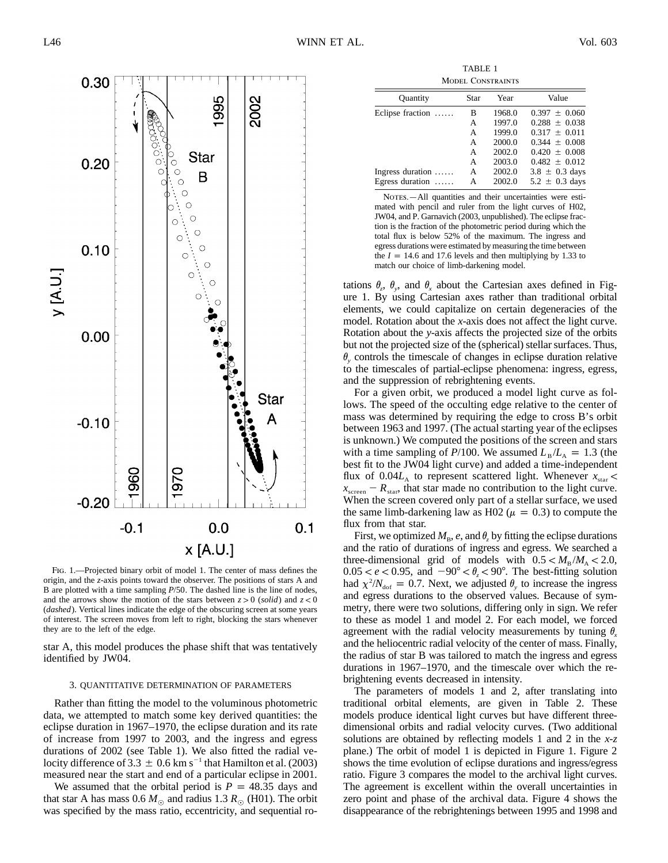

Fig. 1.—Projected binary orbit of model 1. The center of mass defines the origin, and the *z*-axis points toward the observer. The positions of stars A and B are plotted with a time sampling  $P/50$ . The dashed line is the line of nodes, and the arrows show the motion of the stars between  $z > 0$  *(solid)* and  $z < 0$ (*dashed*). Vertical lines indicate the edge of the obscuring screen at some years of interest. The screen moves from left to right, blocking the stars whenever they are to the left of the edge.

star A, this model produces the phase shift that was tentatively identified by JW04.

#### 3. QUANTITATIVE DETERMINATION OF PARAMETERS

Rather than fitting the model to the voluminous photometric data, we attempted to match some key derived quantities: the eclipse duration in 1967–1970, the eclipse duration and its rate of increase from 1997 to 2003, and the ingress and egress durations of 2002 (see Table 1). We also fitted the radial velocity difference of 3.3  $\pm$  0.6 km s<sup>-1</sup> that Hamilton et al. (2003) measured near the start and end of a particular eclipse in 2001.

We assumed that the orbital period is  $P = 48.35$  days and that star A has mass  $0.6 M_{\odot}$  and radius 1.3  $R_{\odot}$  (H01). The orbit was specified by the mass ratio, eccentricity, and sequential ro-

TABLE 1 Model Constraints

| <b>Quantity</b>  | Star | Year   | Value              |  |
|------------------|------|--------|--------------------|--|
| Eclipse fraction | в    | 1968.0 | $0.397 \pm 0.060$  |  |
|                  | A    | 1997.0 | $0.288 \pm 0.038$  |  |
|                  | A    | 1999.0 | $0.317 + 0.011$    |  |
|                  | A    | 2000.0 | $0.344 + 0.008$    |  |
|                  | A    | 2002.0 | $0.420 + 0.008$    |  |
|                  | A    | 2003.0 | $0.482 \pm 0.012$  |  |
| Ingress duration | A    | 2002.0 | $3.8 \pm 0.3$ days |  |
| Egress duration  | А    | 2002.0 | $5.2 \pm 0.3$ days |  |

NOTES.—All quantities and their uncertainties were estimated with pencil and ruler from the light curves of H02, JW04, and P. Garnavich (2003, unpublished). The eclipse fraction is the fraction of the photometric period during which the total flux is below 52% of the maximum. The ingress and egress durations were estimated by measuring the time between the  $I = 14.6$  and 17.6 levels and then multiplying by 1.33 to match our choice of limb-darkening model.

tations  $\theta_z$ ,  $\theta_y$ , and  $\theta_x$  about the Cartesian axes defined in Figure 1. By using Cartesian axes rather than traditional orbital elements, we could capitalize on certain degeneracies of the model. Rotation about the *x*-axis does not affect the light curve. Rotation about the *y*-axis affects the projected size of the orbits but not the projected size of the (spherical) stellar surfaces. Thus,  $\theta$ <sub>v</sub> controls the timescale of changes in eclipse duration relative to the timescales of partial-eclipse phenomena: ingress, egress, and the suppression of rebrightening events.

For a given orbit, we produced a model light curve as follows. The speed of the occulting edge relative to the center of mass was determined by requiring the edge to cross B's orbit between 1963 and 1997. (The actual starting year of the eclipses is unknown.) We computed the positions of the screen and stars with a time sampling of  $P/100$ . We assumed  $L_B/L_A = 1.3$  (the best fit to the JW04 light curve) and added a time-independent flux of  $0.04L<sub>A</sub>$  to represent scattered light. Whenever  $x<sub>star</sub>$  $x_{\text{screen}} - R_{\text{star}}$ , that star made no contribution to the light curve. When the screen covered only part of a stellar surface, we used the same limb-darkening law as H02 ( $\mu = 0.3$ ) to compute the flux from that star.

First, we optimized  $M_B$ ,  $e$ , and  $\theta_z$  by fitting the eclipse durations and the ratio of durations of ingress and egress. We searched a three-dimensional grid of models with  $0.5 < M_B/M_A < 2.0$ ,  $0.05 < e < 0.95$ , and  $-90^{\circ} < \theta_{z} < 90^{\circ}$ . The best-fitting solution had  $\chi^2/N_{\text{dof}} = 0.7$ . Next, we adjusted  $\theta_{\text{v}}$  to increase the ingress and egress durations to the observed values. Because of symmetry, there were two solutions, differing only in sign. We refer to these as model 1 and model 2. For each model, we forced agreement with the radial velocity measurements by tuning  $\theta_x$ and the heliocentric radial velocity of the center of mass. Finally, the radius of star B was tailored to match the ingress and egress durations in 1967–1970, and the timescale over which the rebrightening events decreased in intensity.

The parameters of models 1 and 2, after translating into traditional orbital elements, are given in Table 2. These models produce identical light curves but have different threedimensional orbits and radial velocity curves. (Two additional solutions are obtained by reflecting models 1 and 2 in the *x-z* plane.) The orbit of model 1 is depicted in Figure 1. Figure 2 shows the time evolution of eclipse durations and ingress/egress ratio. Figure 3 compares the model to the archival light curves. The agreement is excellent within the overall uncertainties in zero point and phase of the archival data. Figure 4 shows the disappearance of the rebrightenings between 1995 and 1998 and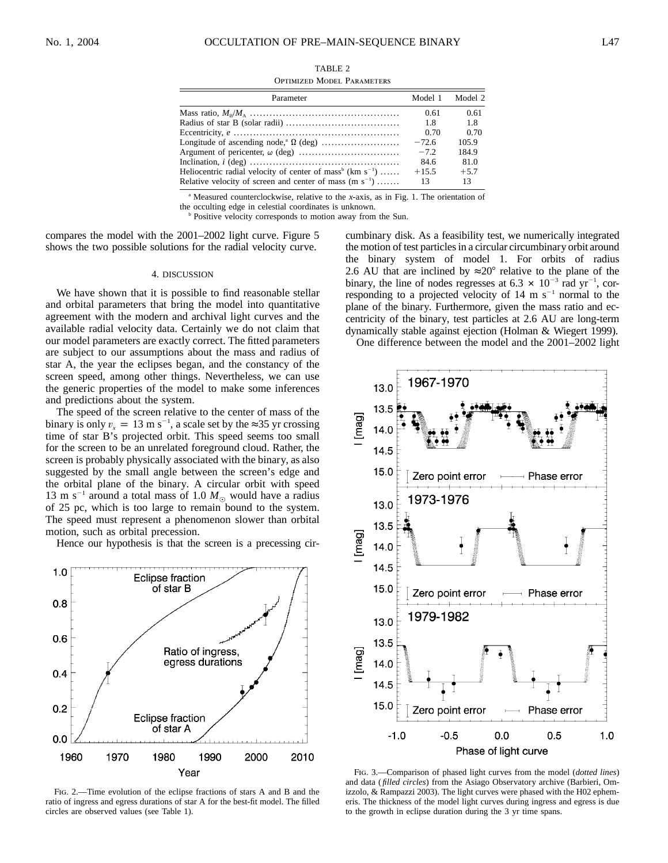| TABLE 2                           |  |
|-----------------------------------|--|
| <b>OPTIMIZED MODEL PARAMETERS</b> |  |

| Parameter                                                                         | Model 1 | Model 2 |
|-----------------------------------------------------------------------------------|---------|---------|
|                                                                                   | 0.61    | 0.61    |
|                                                                                   | 1.8     | 1.8     |
|                                                                                   | 0.70    | 0.70    |
|                                                                                   | $-72.6$ | 105.9   |
|                                                                                   | $-7.2$  | 184.9   |
|                                                                                   | 84.6    | 81.0    |
| Heliocentric radial velocity of center of mass <sup>b</sup> (km s <sup>-1</sup> ) | $+15.5$ | $+5.7$  |
| Relative velocity of screen and center of mass $(m s^{-1})$                       | 13      | 13      |

<sup>a</sup> Measured counterclockwise, relative to the *x*-axis, as in Fig. 1. The orientation of the occulting edge in celestial coordinates is unknown.

<sup>b</sup> Positive velocity corresponds to motion away from the Sun.

compares the model with the 2001–2002 light curve. Figure 5 shows the two possible solutions for the radial velocity curve.

## 4. DISCUSSION

We have shown that it is possible to find reasonable stellar and orbital parameters that bring the model into quantitative agreement with the modern and archival light curves and the available radial velocity data. Certainly we do not claim that our model parameters are exactly correct. The fitted parameters are subject to our assumptions about the mass and radius of star A, the year the eclipses began, and the constancy of the screen speed, among other things. Nevertheless, we can use the generic properties of the model to make some inferences and predictions about the system.

The speed of the screen relative to the center of mass of the binary is only  $v_x = 13 \text{ m s}^{-1}$ , a scale set by the ≈35 yr crossing time of star B's projected orbit. This speed seems too small for the screen to be an unrelated foreground cloud. Rather, the screen is probably physically associated with the binary, as also suggested by the small angle between the screen's edge and the orbital plane of the binary. A circular orbit with speed 13 m s<sup>-1</sup> around a total mass of 1.0  $M_{\odot}$  would have a radius of 25 pc, which is too large to remain bound to the system. The speed must represent a phenomenon slower than orbital motion, such as orbital precession.

Hence our hypothesis is that the screen is a precessing cir-



Fig. 2.—Time evolution of the eclipse fractions of stars A and B and the ratio of ingress and egress durations of star A for the best-fit model. The filled circles are observed values (see Table 1).

cumbinary disk. As a feasibility test, we numerically integrated the motion of test particles in a circular circumbinary orbit around the binary system of model 1. For orbits of radius 2.6 AU that are inclined by  $\approx 20^\circ$  relative to the plane of the binary, the line of nodes regresses at 6.3  $\times$  10<sup>-3</sup> rad yr<sup>-1</sup>, corresponding to a projected velocity of  $14 \text{ m s}^{-1}$  normal to the plane of the binary. Furthermore, given the mass ratio and eccentricity of the binary, test particles at 2.6 AU are long-term dynamically stable against ejection (Holman & Wiegert 1999).

One difference between the model and the 2001–2002 light



Fig. 3.—Comparison of phased light curves from the model (*dotted lines*) and data ( *filled circles*) from the Asiago Observatory archive (Barbieri, Omizzolo, & Rampazzi 2003). The light curves were phased with the H02 ephemeris. The thickness of the model light curves during ingress and egress is due to the growth in eclipse duration during the 3 yr time spans.